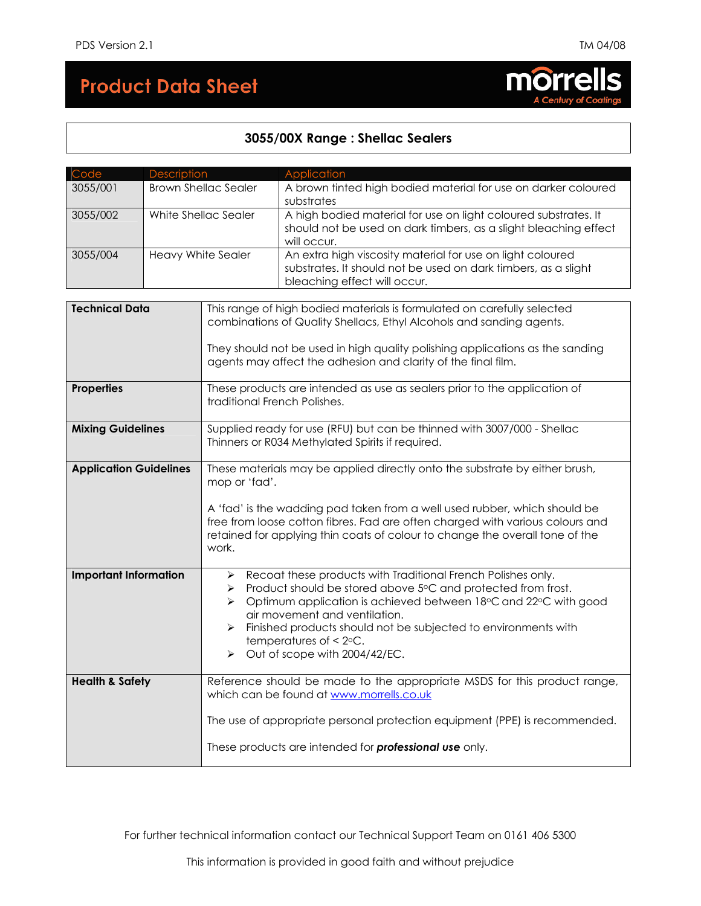# **Product Data Sheet**

# morrells

## **3055/00X Range : Shellac Sealers**

| Code                          | Description                 |                                                                                                                                                                                                                                                     | Application                                                                                                                                                                                                                                                                                                                                                         |  |  |  |  |
|-------------------------------|-----------------------------|-----------------------------------------------------------------------------------------------------------------------------------------------------------------------------------------------------------------------------------------------------|---------------------------------------------------------------------------------------------------------------------------------------------------------------------------------------------------------------------------------------------------------------------------------------------------------------------------------------------------------------------|--|--|--|--|
| 3055/001                      | <b>Brown Shellac Sealer</b> |                                                                                                                                                                                                                                                     | A brown tinted high bodied material for use on darker coloured<br>substrates                                                                                                                                                                                                                                                                                        |  |  |  |  |
| 3055/002                      | White Shellac Sealer        |                                                                                                                                                                                                                                                     | A high bodied material for use on light coloured substrates. It<br>should not be used on dark timbers, as a slight bleaching effect<br>will occur.                                                                                                                                                                                                                  |  |  |  |  |
| 3055/004                      | Heavy White Sealer          |                                                                                                                                                                                                                                                     | An extra high viscosity material for use on light coloured<br>substrates. It should not be used on dark timbers, as a slight<br>bleaching effect will occur.                                                                                                                                                                                                        |  |  |  |  |
|                               |                             |                                                                                                                                                                                                                                                     |                                                                                                                                                                                                                                                                                                                                                                     |  |  |  |  |
| <b>Technical Data</b>         |                             |                                                                                                                                                                                                                                                     | This range of high bodied materials is formulated on carefully selected<br>combinations of Quality Shellacs, Ethyl Alcohols and sanding agents.                                                                                                                                                                                                                     |  |  |  |  |
|                               |                             | They should not be used in high quality polishing applications as the sanding<br>agents may affect the adhesion and clarity of the final film.                                                                                                      |                                                                                                                                                                                                                                                                                                                                                                     |  |  |  |  |
| Properties                    |                             |                                                                                                                                                                                                                                                     | These products are intended as use as sealers prior to the application of<br>traditional French Polishes.                                                                                                                                                                                                                                                           |  |  |  |  |
| <b>Mixing Guidelines</b>      |                             | Supplied ready for use (RFU) but can be thinned with 3007/000 - Shellac<br>Thinners or R034 Methylated Spirits if required.                                                                                                                         |                                                                                                                                                                                                                                                                                                                                                                     |  |  |  |  |
| <b>Application Guidelines</b> |                             | These materials may be applied directly onto the substrate by either brush,<br>mop or 'fad'.                                                                                                                                                        |                                                                                                                                                                                                                                                                                                                                                                     |  |  |  |  |
|                               |                             | A 'fad' is the wadding pad taken from a well used rubber, which should be<br>free from loose cotton fibres. Fad are often charged with various colours and<br>retained for applying thin coats of colour to change the overall tone of the<br>work. |                                                                                                                                                                                                                                                                                                                                                                     |  |  |  |  |
| <b>Important Information</b>  |                             | ➤<br>$\blacktriangleright$<br>≻<br>$\blacktriangleright$<br>➤                                                                                                                                                                                       | Recoat these products with Traditional French Polishes only.<br>Product should be stored above 5°C and protected from frost.<br>Optimum application is achieved between 18°C and 22°C with good<br>air movement and ventilation.<br>Finished products should not be subjected to environments with<br>temperatures of $\leq 2$ °C.<br>Out of scope with 2004/42/EC. |  |  |  |  |
| <b>Health &amp; Safety</b>    |                             |                                                                                                                                                                                                                                                     | Reference should be made to the appropriate MSDS for this product range,<br>which can be found at www.morrells.co.uk                                                                                                                                                                                                                                                |  |  |  |  |
|                               |                             | The use of appropriate personal protection equipment (PPE) is recommended.                                                                                                                                                                          |                                                                                                                                                                                                                                                                                                                                                                     |  |  |  |  |
|                               |                             | These products are intended for professional use only.                                                                                                                                                                                              |                                                                                                                                                                                                                                                                                                                                                                     |  |  |  |  |

For further technical information contact our Technical Support Team on 0161 406 5300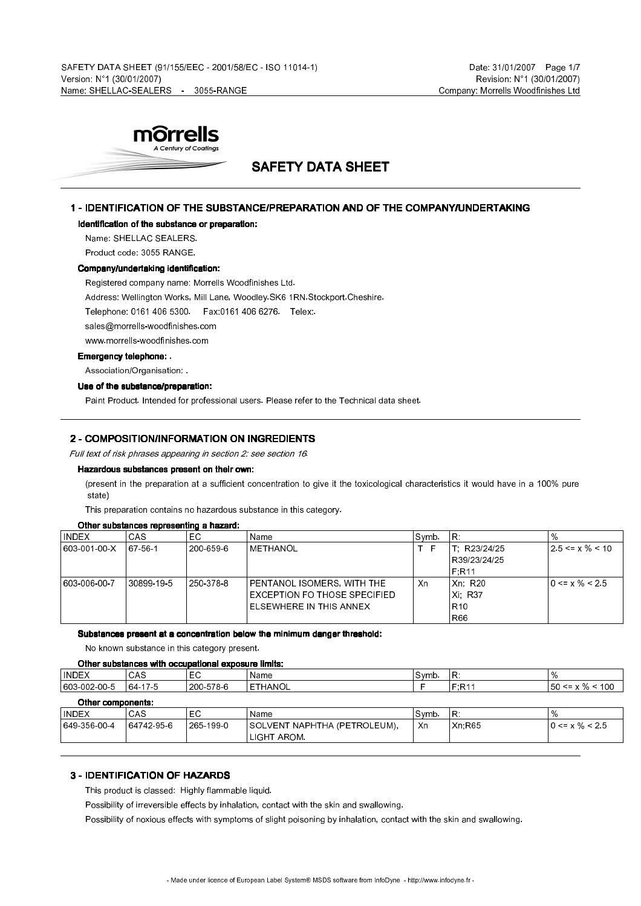

# SAFETY DATA SHEET

#### 1 - IDENTIFICATION OF THE SUBSTANCE/PREPARATION AND OF THE COMPANY/UNDERTAKING

#### Identification of the substance or preparation:

Name: SHELLAC SEALERS.

Product code: 3055 RANGE.

#### Company/undertaking identification:

Registered company name: Morrells Woodfinishes Ltd.

Address: Wellington Works, Mill Lane, Woodley.SK6 1RN.Stockport.Cheshire.

Telephone: 0161 406 5300. Fax:0161 406 6276. Telex:.

sales@morrells-woodfinishes.com

www.morrells-woodfinishes.com

#### Emergency telephone: .

Association/Organisation: .

#### Use of the substance/preparation:

Paint Product. Intended for professional users. Please refer to the Technical data sheet.

#### 2 - COMPOSITION/INFORMATION ON INGREDIENTS

Full text of risk phrases appearing in section 2: see section 16.

#### Hazardous substances present on their own:

(present in the preparation at a sufficient concentration to give it the toxicological characteristics it would have in a 100% pure state)

This preparation contains no hazardous substance in this category.

#### Other substances representing a hazard:

| <b>INDEX</b> | 'CAS       | EC.       | Name                            | Symb. | IR.             | $^{\circ}\%$                    |
|--------------|------------|-----------|---------------------------------|-------|-----------------|---------------------------------|
| 603 001 00 X | 167561     | 200-659-6 | METHANOL                        |       | R23/24/25       | $12.5 \le x \frac{9}{6} \le 10$ |
|              |            |           |                                 |       | R39/23/24/25    |                                 |
|              |            |           |                                 |       | ı F.R11         |                                 |
| 603 006 00 7 | 30899 19 5 | 250 378 8 | PENTANOL ISOMERS. WITH THE      | Xn    | Xn. R20         | $10 \le x \% \le 2.5$           |
|              |            |           | EXCEPTION FO THOSE SPECIFIED    |       | Xi: R37         |                                 |
|              |            |           | <b>IELSEWHERE IN THIS ANNEX</b> |       | R <sub>10</sub> |                                 |
|              |            |           |                                 |       | <b>R66</b>      |                                 |

Substances present at a concentration below the minimum danger threshold:

No known substance in this category present.

#### Other substances with occupational exposure limits:

| ∣ INDEX                                                                                                                                                                                                                       | CAS                            | $ -$<br>Ē | Name              | Svmb. | D<br>.            | $\frac{1}{2}$                  |
|-------------------------------------------------------------------------------------------------------------------------------------------------------------------------------------------------------------------------------|--------------------------------|-----------|-------------------|-------|-------------------|--------------------------------|
| $-002005$<br>1603.                                                                                                                                                                                                            | 17.5<br>$\sim$<br>'64 .<br>175 | 200-578-6 | <b>HANOL</b><br>- |       | $E \cdot D4$<br>. | 100<br>БΩ.<br>$\leq$ x %<br>vv |
| With the property of the first state of the state of the state of the state of the state of the state of the state of the state of the state of the state of the state of the state of the state of the state of the state of |                                |           |                   |       |                   |                                |

| <b>Uther components:</b> |          |                          |                               |       |               |                       |  |
|--------------------------|----------|--------------------------|-------------------------------|-------|---------------|-----------------------|--|
| <b>INDEX</b>             | CAS      | $\overline{\phantom{0}}$ | Name                          | Svmb. | 'R.           |                       |  |
| 649 356 00 4             | 64742956 | 265 199 0                | ISOLVENT NAPHTHA (PETROLEUM). | Xn    | <b>Xn R65</b> | $10 \le x \% \le 2.5$ |  |
|                          |          |                          | LIGHT AROM.                   |       |               |                       |  |

#### 3 - IDENTIFICATION OF HAZARDS

This product is classed: Highly flammable liquid.

Possibility of irreversible effects by inhalation, contact with the skin and swallowing.

Possibility of noxious effects with symptoms of slight poisoning by inhalation, contact with the skin and swallowing.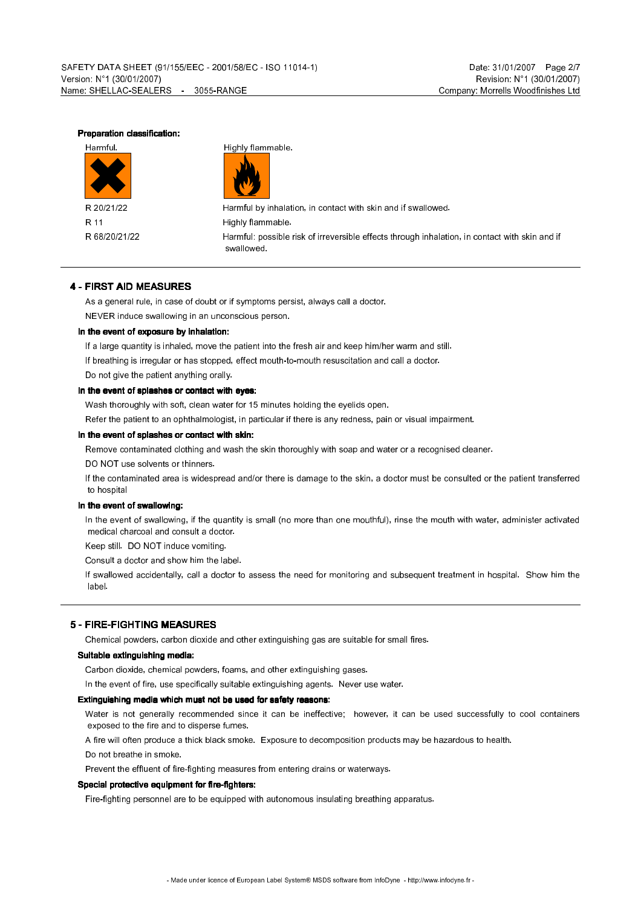#### Preparation classification:



Harmful. **Highly flammable.** 



R 20/21/22 Harmful by inhalation, in contact with skin and if swallowed. R 11 **R** 11 R 68/20/21/22 Harmful: possible risk of irreversible effects through inhalation, in contact with skin and if swallowed.

#### 4 - FIRST AID MEASURES

As a general rule, in case of doubt or if symptoms persist, always call a doctor. NEVER induce swallowing in an unconscious person.

#### In the event of exposure by inhalation:

If a large quantity is inhaled, move the patient into the fresh air and keep him/her warm and still.

If breathing is irregular or has stopped, effect mouth-to-mouth resuscitation and call a doctor.

Do not give the patient anything orally.

#### In the event of splashes or contact with eyes:

Wash thoroughly with soft, clean water for 15 minutes holding the eyelids open.

Refer the patient to an ophthalmologist, in particular if there is any redness, pain or visual impairment.

#### In the event of splashes or contact with skin:

Remove contaminated clothing and wash the skin thoroughly with soap and water or a recognised cleaner.

DO NOT use solvents or thinners.

If the contaminated area is widespread and/or there is damage to the skin, a doctor must be consulted or the patient transferred to hospital

#### In the event of swallowing:

In the event of swallowing, if the quantity is small (no more than one mouthful), rinse the mouth with water, administer activated medical charcoal and consult a doctor.

Keep still. DO NOT induce vomiting.

Consult a doctor and show him the label.

If swallowed accidentally, call a doctor to assess the need for monitoring and subsequent treatment in hospital. Show him the label.

#### 5 - FIRE-FIGHTING MEASURES

Chemical powders, carbon dioxide and other extinguishing gas are suitable for small fires.

#### Suitable extinguishing media:

Carbon dioxide, chemical powders, foams, and other extinguishing gases.

In the event of fire, use specifically suitable extinguishing agents. Never use water.

#### Extinguishing media which must not be used for safety reasons:

Water is not generally recommended since it can be ineffective; however, it can be used successfully to cool containers exposed to the fire and to disperse fumes.

A fire will often produce a thick black smoke. Exposure to decomposition products may be hazardous to health.

Do not breathe in smoke.

Prevent the effluent of fire-fighting measures from entering drains or waterways.

#### Special protective equipment for fire-fighters:

Fire-fighting personnel are to be equipped with autonomous insulating breathing apparatus.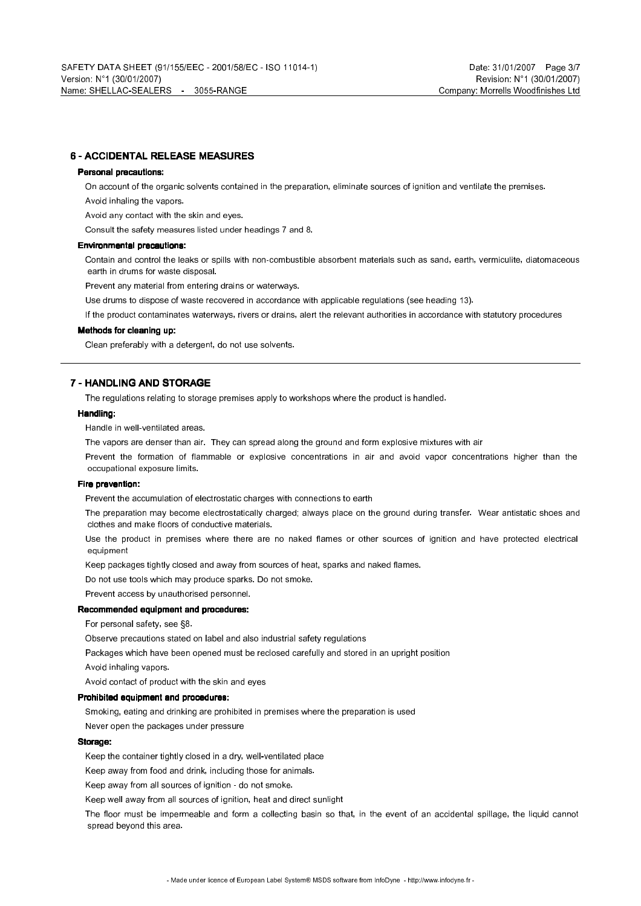#### 6 - ACCIDENTAL RELEASE MEASURES

#### Personal precautions:

On account of the organic solvents contained in the preparation, eliminate sources of ignition and ventilate the premises.

Avoid inhaling the vapors.

Avoid any contact with the skin and eyes.

Consult the safety measures listed under headings 7 and 8.

#### Environmental precautions:

Contain and control the leaks or spills with non-combustible absorbent materials such as sand, earth, vermiculite, diatomaceous earth in drums for waste disposal.

Prevent any material from entering drains or waterways.

Use drums to dispose of waste recovered in accordance with applicable regulations (see heading 13).

If the product contaminates waterways, rivers or drains, alert the relevant authorities in accordance with statutory procedures

#### Methods for cleaning up:

Clean preferably with a detergent, do not use solvents.

#### 7 - HANDLING AND STORAGE

The regulations relating to storage premises apply to workshops where the product is handled.

#### Handling:

Handle in well-ventilated areas.

The vapors are denser than air. They can spread along the ground and form explosive mixtures with air

Prevent the formation of flammable or explosive concentrations in air and avoid vapor concentrations higher than the occupational exposure limits.

#### Fire prevention:

Prevent the accumulation of electrostatic charges with connections to earth

The preparation may become electrostatically charged; always place on the ground during transfer. Wear antistatic shoes and clothes and make floors of conductive materials.

Use the product in premises where there are no naked flames or other sources of ignition and have protected electrical equipment

Keep packages tightly closed and away from sources of heat, sparks and naked flames.

Do not use tools which may produce sparks. Do not smoke.

Prevent access by unauthorised personnel.

#### Recommended equipment and procedures:

For personal safety, see §8.

Observe precautions stated on label and also industrial safety regulations

Packages which have been opened must be reclosed carefully and stored in an upright position

Avoid inhaling vapors.

Avoid contact of product with the skin and eyes

#### Prohibited equipment and procedures:

Smoking, eating and drinking are prohibited in premises where the preparation is used

Never open the packages under pressure

#### Storage:

Keep the container tightly closed in a dry, well-ventilated place

Keep away from food and drink, including those for animals.

Keep away from all sources of ignition - do not smoke.

Keep well away from all sources of ignition, heat and direct sunlight

The floor must be impermeable and form a collecting basin so that, in the event of an accidental spillage, the liquid cannot spread beyond this area.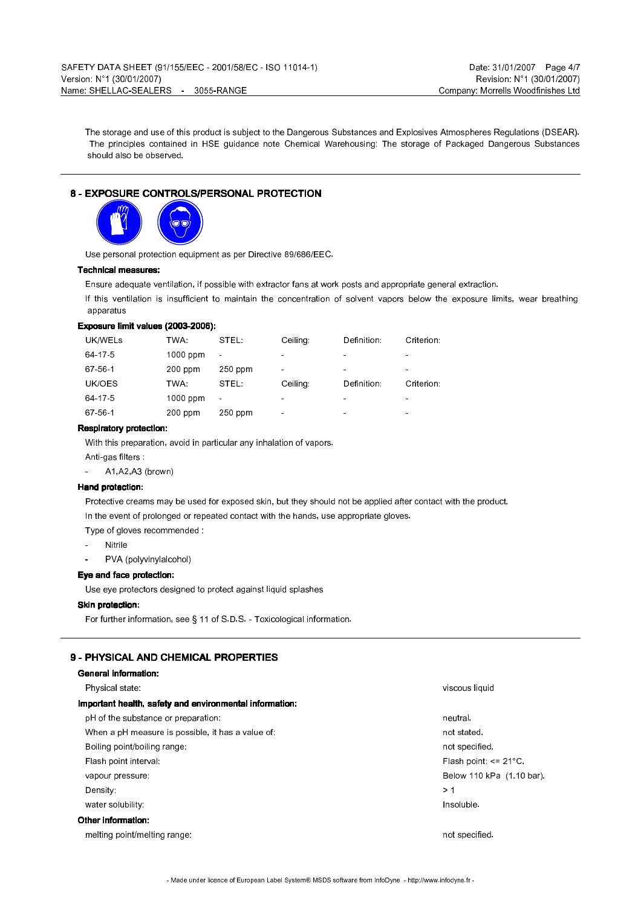The storage and use of this product is subject to the Dangerous Substances and Explosives Atmospheres Regulations (DSEAR). The principles contained in HSE guidance note Chemical Warehousing: The storage of Packaged Dangerous Substances should also be observed.

#### 8 - EXPOSURE CONTROLS/PERSONAL PROTECTION



Use personal protection equipment as per Directive 89/686/EEC.

#### Technical measures:

Ensure adequate ventilation, if possible with extractor fans at work posts and appropriate general extraction.

If this ventilation is insufficient to maintain the concentration of solvent vapors below the exposure limits, wear breathing apparatus

#### Exposure limit values (2003-2006):

| UK/WELS | TWA.      | STEL:          | Celling:       | Definition:    | Criterion:     |
|---------|-----------|----------------|----------------|----------------|----------------|
| 64 17 5 | 1000 ppm  | $\blacksquare$ | $\blacksquare$ | $\blacksquare$ | $\sim$         |
| 67 56 1 | $200$ ppm | $250$ ppm      | $\blacksquare$ | $\blacksquare$ | $\blacksquare$ |
|         |           |                |                |                |                |
| UK/OES  | TWA.      | STEL:          | Celling:       | Definition:    | Criterion:     |
| 64-17-5 | 1000 ppm  | $\blacksquare$ | $\blacksquare$ | $\blacksquare$ |                |

#### Respiratory protection:

With this preparation, avoid in particular any inhalation of vapors.

Anti-gas filters

- A1,A2,A3 (brown)

#### Hand protection:

Protective creams may be used for exposed skin, but they should not be applied after contact with the product. In the event of prolonged or repeated contact with the hands, use appropriate gloves.

Type of gloves recommended :

- **Nitrile**
- PVA (polyvinylalcohol)

#### Eye and face protection:

Use eye protectors designed to protect against liquid splashes

#### Skin protection:

For further information, see § 11 of S.D.S. - Toxicological information.

### 9 - PHYSICAL AND CHEMICAL PROPERTIES

#### General information:

| Physical state.                                         | viscous liquid             |
|---------------------------------------------------------|----------------------------|
| Important health, safety and environmental information: |                            |
| pH of the substance or preparation:                     | neutral.                   |
| When a pH measure is possible, it has a value of        | not stated.                |
| Boiling point/boiling range:                            | not specified              |
| Flash point interval:                                   | Flash point: $\leq$ 21 °C. |
| vapour pressure:                                        | Below 110 kPa (1 10 bar).  |
| Density:                                                | >1                         |
| water solubility.                                       | Insoluble.                 |
| Other information:                                      |                            |
|                                                         |                            |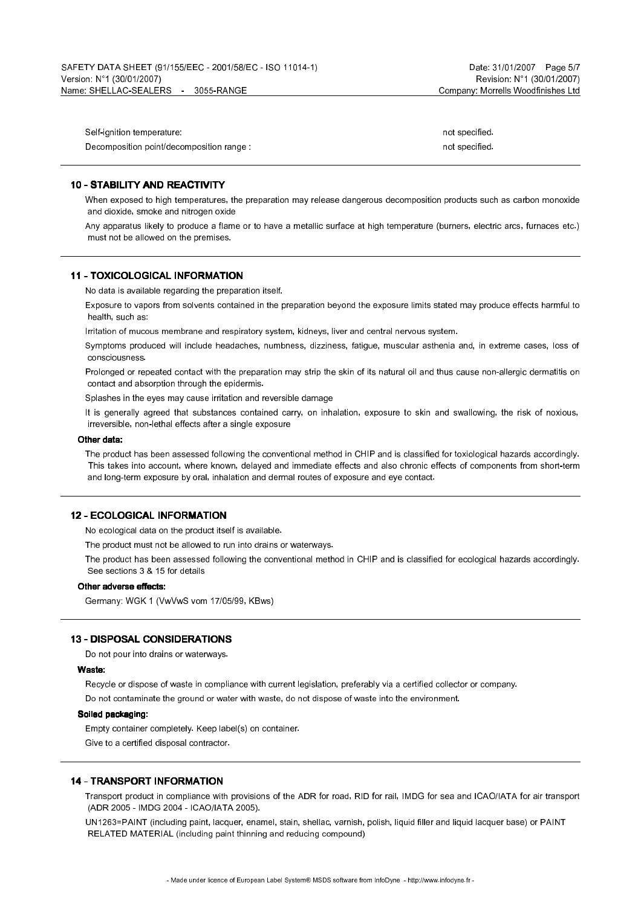| Self-ignition temperature               | not specified. |
|-----------------------------------------|----------------|
| Decomposition point/decomposition range | not specified. |

#### 10 - STABILITY AND REACTIVITY

When exposed to high temperatures, the preparation may release dangerous decomposition products such as carbon monoxide and dioxide, smoke and nitrogen oxide

Any apparatus likely to produce a flame or to have a metallic surface at high temperature (burners, electric arcs, furnaces etc.) must not be allowed on the premises.

#### 11 - TOXICOLOGICAL INFORMATION

No data is available regarding the preparation itself.

Exposure to vapors from solvents contained in the preparation beyond the exposure limits stated may produce effects harmful to health, such as:

Irritation of mucous membrane and respiratory system, kidneys, liver and central nervous system.

Symptoms produced will include headaches, numbness, dizziness, fatigue, muscular asthenia and, in extreme cases, loss of consciousness.

Prolonged or repeated contact with the preparation may strip the skin of its natural oil and thus cause non-allergic dermatitis on contact and absorption through the epidermis.

Splashes in the eyes may cause irritation and reversible damage

It is generally agreed that substances contained carry, on inhalation, exposure to skin and swallowing, the risk of noxious, irreversible, non-lethal effects after a single exposure

#### Other data:

The product has been assessed following the conventional method in CHIP and is classified for toxiological hazards accordingly. This takes into account, where known, delayed and immediate effects and also chronic effects of components from short-term and long-term exposure by oral, inhalation and dermal routes of exposure and eye contact.

#### 12 - ECOLOGICAL INFORMATION

No ecological data on the product itself is available.

The product must not be allowed to run into drains or waterways.

The product has been assessed following the conventional method in CHIP and is classified for ecological hazards accordingly. See sections 3 & 15 for details

#### Other adverse effects:

Germany: WGK 1 (VwVwS vom 17/05/99, KBws)

#### 13 - DISPOSAL CONSIDERATIONS

Do not pour into drains or waterways.

#### Waste:

Recycle or dispose of waste in compliance with current legislation, preferably via a certified collector or company. Do not contaminate the ground or water with waste, do not dispose of waste into the environment.

#### Soiled packaging:

Empty container completely. Keep label(s) on container.

Give to a certified disposal contractor.

#### 14 - TRANSPORT INFORMATION

Transport product in compliance with provisions of the ADR for road, RID for rail, IMDG for sea and ICAO/IATA for air transport (ADR 2005 - IMDG 2004 - ICAO/IATA 2005).

UN1263=PAINT (including paint, lacquer, enamel, stain, shellac, varnish, polish, liquid filler and liquid lacquer base) or PAINT RELATED MATERIAL (including paint thinning and reducing compound)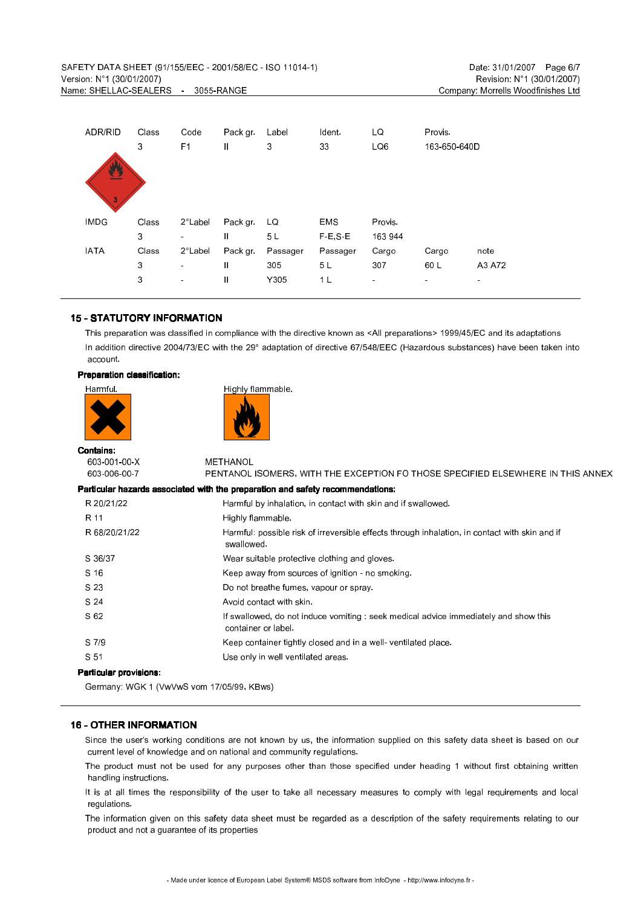| ADR/RID        | Class | Code              | Pack gr       | Label    | Ident.         | LQ             | <b>Provis</b>  |                |
|----------------|-------|-------------------|---------------|----------|----------------|----------------|----------------|----------------|
|                | 3     | F <sub>1</sub>    | $\mathbf{I}$  | 3        | 33             | LQ6            | 163-650-640D   |                |
|                |       |                   |               |          |                |                |                |                |
| 豐              |       |                   |               |          |                |                |                |                |
|                |       |                   |               |          |                |                |                |                |
| $\overline{3}$ |       |                   |               |          |                |                |                |                |
| <b>IMDG</b>    | Class | $2^\circ$ Label   | Pack gr.      | LQ       | <b>EMS</b>     | Provis.        |                |                |
|                | 3     | $\blacksquare$    | Ш             | 5L       | $F-E, S-E$     | 163 944        |                |                |
| <b>IATA</b>    | Class | $2^{\circ}$ Label | Pack gr.      | Passager | Passager       | Cargo          | Cargo          | note           |
|                | 3     | $\sim$            | $\mathbf{II}$ | 305      | 5 <sub>L</sub> | 307            | 60 L           | A3 A72         |
|                | 3     | $\blacksquare$    | $\mathbf{II}$ | Y305     | 1 L            | $\blacksquare$ | $\blacksquare$ | $\blacksquare$ |
|                |       |                   |               |          |                |                |                |                |

#### 15 - STATUTORY INFORMATION

This preparation was classified in compliance with the directive known as <All preparations> 1999/45/EC and its adaptations In addition directive 2004/73/EC with the 29° adaptation of directive 67/548/EEC (Hazardous substances) have been taken into account.

#### Preparation classification:

Harmful. **Highly flammable.** 



| <b>Contains:</b>              |                                                                                                              |
|-------------------------------|--------------------------------------------------------------------------------------------------------------|
| 603 001 00 X                  | METHANOL                                                                                                     |
| 603 006 00 7                  | PENTANOL ISOMERS, WITH THE EXCEPTION FO THOSE SPECIFIED ELSEWHERE IN THIS ANNEX                              |
|                               | Particular hazards associated with the preparation and safety recommendations:                               |
| R 20/21/22                    | Harmful by inhalation, in contact with skin and if swallowed.                                                |
| R 11                          | Highly flammable.                                                                                            |
| R 68/20/21/22                 | Harmful: possible risk of irreversible effects through inhalation, in contact with skin and if<br>swallowed. |
| S 36/37                       | Wear suitable protective clothing and gloves.                                                                |
| S 16                          | Keep away from sources of ignition - no smoking.                                                             |
| S 23                          | Do not breathe fumes, vapour or spray.                                                                       |
| S 24                          | Avoid contact with skin.                                                                                     |
| S 62                          | If swallowed, do not induce vomiting : seek medical advice immediately and show this<br>container or label.  |
| S 7/9                         | Keep container tightly closed and in a well-ventilated place.                                                |
| S 51                          | Use only in well ventilated areas.                                                                           |
| <b>Particular provisions:</b> |                                                                                                              |

Germany: WGK 1 (VwVwS vom 17/05/99, KBws)

#### 16 - OTHER INFORMATION

Since the user's working conditions are not known by us, the information supplied on this safety data sheet is based on our current level of knowledge and on national and community regulations.

The product must not be used for any purposes other than those specified under heading 1 without first obtaining written handling instructions.

It is at all times the responsibility of the user to take all necessary measures to comply with legal requirements and local regulations.

The information given on this safety data sheet must be regarded as a description of the safety requirements relating to our product and not a guarantee of its properties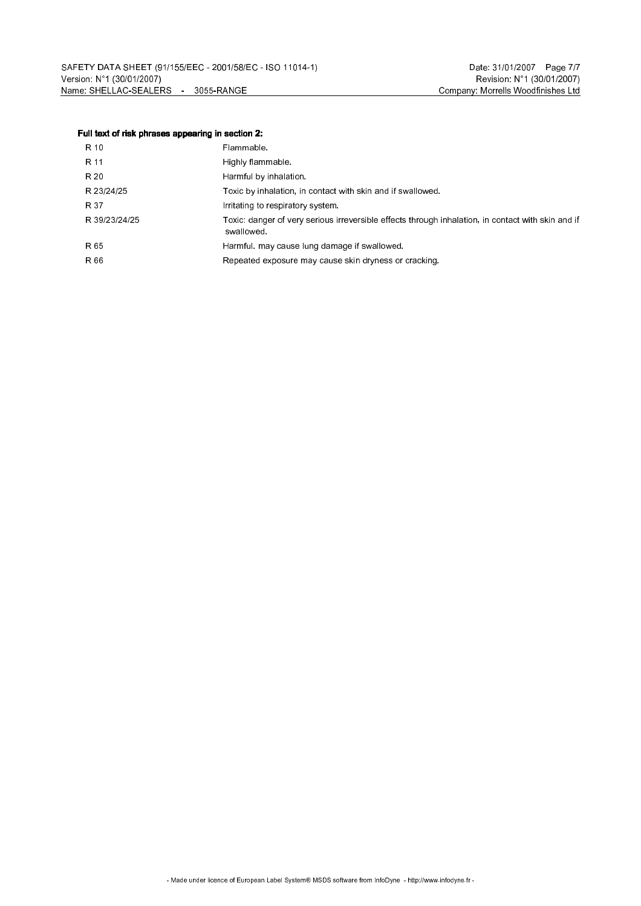#### Full text of risk phrases appearing in section 2:

| R 10          | Flammable.                                                                                                       |
|---------------|------------------------------------------------------------------------------------------------------------------|
| R 11          | Highly flammable.                                                                                                |
| R 20          | Harmful by inhalation.                                                                                           |
| R 23/24/25    | Toxic by inhalation, in contact with skin and if swallowed.                                                      |
| R 37          | Initating to respiratory system.                                                                                 |
| R 39/23/24/25 | Toxic: danger of very serious irreversible effects through inhalation, in contact with skin and if<br>swallowed. |
| R 65          | Harmful, may cause lung damage if swallowed.                                                                     |
| R 66          | Repeated exposure may cause skin dryness or cracking.                                                            |